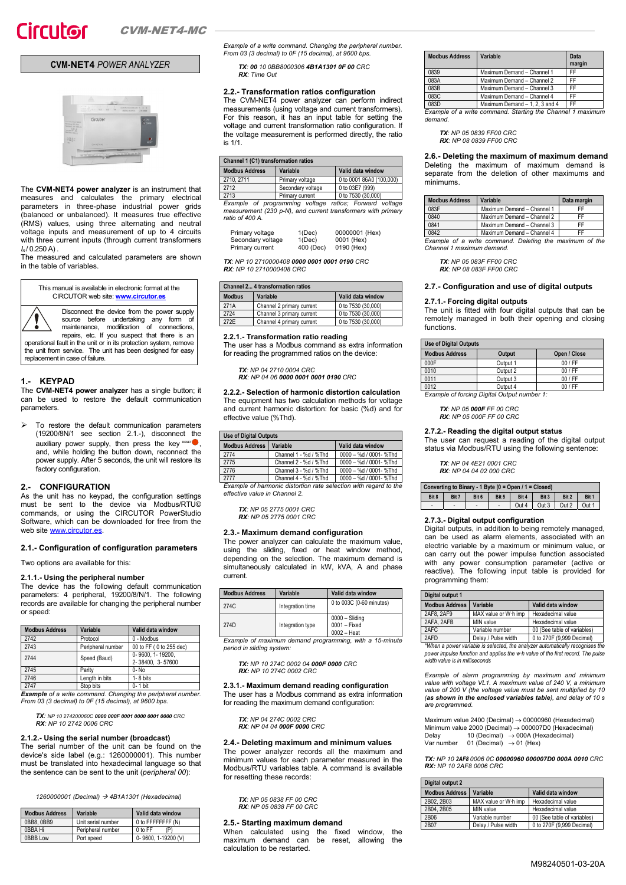## **CVM-NET4** *POWER ANALYZER*



The **CVM-NET4 power analyzer** is an instrument that measures and calculates the primary electrical parameters in three-phase industrial power grids (balanced or unbalanced). It measures true effective (RMS) values, using three alternating and neutral voltage inputs and measurement of up to 4 circuits with three current inputs (through current transformers  $I_n / 0.250 A$ ).

The measured and calculated parameters are shown in the table of variables.



Disconnect the device from the power supply source before undertaking any form of<br>maintenance, modification of connections,<br>repairs, etc. If you suspect that there is an<br>operational fault in the unit or in its protection system, remove

the unit from service. The unit has been designed for easy replacement in case of failure.

## **1.- KEYPAD**

The **CVM-NET4 power analyzer** has a single button; it can be used to restore the default communication parameters.

 $\triangleright$  To restore the default communication parameters (19200/8N/1 see section 2.1.-), disconnect the auxiliary power supply, then press the key RESET<sup>O</sup>, and, while holding the button down, reconnect the power supply. After 5 seconds, the unit will restore its factory configuration.

## **2.- CONFIGURATION**

As the unit has no keypad, the configuration settings must be sent to the device via Modbus/RTU© commands, or using the CIRCUTOR PowerStudio Software, which can be downloaded for free from the web site www.circutor.es

### **2.1.- Configuration of configuration parameters**

Two options are available for this:

### **2.1.1.- Using the peripheral number**

The device has the following default communication parameters: 4 peripheral, 19200/8/N/1. The following records are available for changing the peripheral number or speed:

| <b>Modbus Address</b> | Variable          | Valid data window                    |
|-----------------------|-------------------|--------------------------------------|
| 2742                  | Protocol          | 0 - Modbus                           |
| 2743                  | Peripheral number | 00 to FF (0 to 255 dec)              |
| 2744                  | Speed (Baud)      | 0-9600, 1-19200,<br>2-38400, 3-57600 |
| 2745                  | Parity            | $0 - No$                             |
| 2746                  | Length in bits    | $1 - 8$ bits                         |
| 2747                  | Stop bits         | 0-1 bit                              |

2747 Stop bits 0- 1 bit *Example of a write command. Changing the peripheral number. From 03 (3 decimal) to 0F (15 decimal), at 9600 bps.* 

## *TX: NP 10 274200060C 0000 000F 0001 0000 0001 0000 CRC RX: NP 10 2742 0006 CRC*

## **2.1.2.- Using the serial number (broadcast)**

The serial number of the unit can be found on the device's side label (e.g.: 1260000001). This number must be translated into hexadecimal language so that the sentence can be sent to the unit (*peripheral 00*):

*1260000001 (Decimal) 4B1A1301 (Hexadecimal)* 

| <b>Modbus Address</b> | Variable           | Valid data window  |
|-----------------------|--------------------|--------------------|
| 0BB8, 0BB9            | Unit serial number | 0 to FFFFFFFF (N)  |
| 0BBA Hi               | Peripheral number  | 0 to FF            |
| <b>OBBB Low</b>       | Port speed         | 0-9600.1-19200 (V) |

*Example of a write command. Changing the peripheral number. From 03 (3 decimal) to 0F (15 decimal), at 9600 bps.* 

*TX: 00 10 0BB8000306 4B1A1301 0F 00 CRC RX: Time Out* 

## **2.2.- Transformation ratios configuration**

The CVM-NET4 power analyzer can perform indirect measurements (using voltage and current transformers). For this reason, it has an input table for setting the voltage and current transformation ratio configuration. If the voltage measurement is performed directly, the ratio is 1/1.

#### **Channel 1 (C1) transformation ratios Modbus Address Variable Valid data window<br>2710, 2711 Primary voltage 0 to 0001 86A0 (10)** 2710, 2711 Primary voltage 0 to 0001 86A0 (100,000) Secondary voltage 2713 Primary current 0 to 7530 (30,000)<br>Example of programming voltage ratios: Forward voltage *Example of programming voltage*

*measurement (230 p-N), and current transformers with primary ratio of 400 A.* 

| Primary voltage   | 1(Dec)    | 00000001 (Hex) |
|-------------------|-----------|----------------|
| Secondary voltage | 1(Dec)    | 0001 (Hex)     |
| Primary current   | 400 (Dec) | 0190 (Hex)     |

*TX: NP 10 2710000408 0000 0001 0001 0190 CRC RX: NP 10 2710000408 CRC* 

#### **Channel 2... 4 transformation ratios**

| <u>Channel 2 + transformation ratios</u> |                           |                    |  |  |
|------------------------------------------|---------------------------|--------------------|--|--|
| <b>Modbus</b>                            | Variable                  | Valid data window  |  |  |
| 271A                                     | Channel 2 primary current | 0 to 7530 (30,000) |  |  |
| 2724                                     | Channel 3 primary current | 0 to 7530 (30,000) |  |  |
| 272E                                     | Channel 4 primary current | 0 to 7530 (30,000) |  |  |

**2.2.1.- Transformation ratio reading** 

The user has a Modbus command as extra information for reading the programmed ratios on the device:

*TX: NP 04 2710 0004 CRC RX: NP 04 06 0000 0001 0001 0190 CRC* 

**2.2.2.- Selection of harmonic distortion calculation**  The equipment has two calculation methods for voltage and current harmonic distortion: for basic (%d) and for effective value (%Thd).

| <b>Use of Digital Outputs</b>                                    |                       |                        |  |
|------------------------------------------------------------------|-----------------------|------------------------|--|
| <b>Modbus Address</b>                                            | Variable              | Valid data window      |  |
| 2774                                                             | Channel 1 - %d / %Thd | 0000 - %d / 0001- %Thd |  |
| 2775                                                             | Channel 2 - %d / %Thd | 0000 - %d / 0001- %Thd |  |
| 2776                                                             | Channel 3 - %d / %Thd | 0000 - %d / 0001- %Thd |  |
| 2777                                                             | Channel 4 - %d / %Thd | 0000 - %d / 0001- %Thd |  |
| Example of harmonic distortion rate selection with regard to the |                       |                        |  |

*Example of harmonic distortion rate selection with regard to the effective value in Channel 2.* 

*TX: NP 05 2775 0001 CRC RX: NP 05 2775 0001 CRC* 

## **2.3.- Maximum demand configuration**

The power analyzer can calculate the maximum value, using the sliding, fixed or heat window method, depending on the selection. The maximum demand is simultaneously calculated in kW, kVA, A and phase current.

| <b>Modbus Address</b> | Variable         | Valid data window                                 |
|-----------------------|------------------|---------------------------------------------------|
| 274C                  | Integration time | 0 to 003C (0-60 minutes)                          |
| 274D                  | Integration type | $0000 - Sliding$<br>0001 - Fixed<br>$0002 - Heat$ |

*Example of maximum demand programming, with a 15-minute period in sliding system:* 

*TX: NP 10 274C 0002 04 000F 0000 CRC RX: NP 10 274C 0002 CRC* 

**2.3.1.- Maximum demand reading configuration**  The user has a Modbus command as extra information for reading the maximum demand configuration:

- *TX: NP 04 274C 0002 CRC RX: NP 04 04 000F 0000 CRC*
- 

## **2.4.- Deleting maximum and minimum values**

The power analyzer records all the maximum and minimum values for each parameter measured in the Modbus/RTU variables table. A command is available for resetting these records:

*TX: NP 05 0838 FF 00 CRC RX: NP 05 0838 FF 00 CRC* 

## **2.5.- Starting maximum demand**

When calculated using the fixed window, the maximum demand can be reset, allowing the calculation to be restarted.

| <b>Modbus Address</b> | Variable                       | Data<br>margin |
|-----------------------|--------------------------------|----------------|
| 0839                  | Maximum Demand - Channel 1     | FF             |
| 083A                  | Maximum Demand - Channel 2     | FF             |
| 083B                  | Maximum Demand - Channel 3     | FF             |
| 083C                  | Maximum Demand - Channel 4     | FF             |
| 083D                  | Maximum Demand - 1, 2, 3 and 4 | FF             |

*Example of a write command. Starting the Channel 1 maximum demand.* 

*TX: NP 05 0839 FF00 CRC RX: NP 08 0839 FF00 CRC* 

**2.6.- Deleting the maximum of maximum demand**  Deleting the maximum of maximum demand is separate from the deletion of other maximums and minimums.

| <b>Modbus Address</b> | Variable                                                | Data margin |
|-----------------------|---------------------------------------------------------|-------------|
| 083F                  | Maximum Demand - Channel 1                              | FF          |
| 0840                  | Maximum Demand - Channel 2                              | FF          |
| 0841                  | Maximum Demand - Channel 3                              | FF          |
| 0842                  | Maximum Demand - Channel 4                              | FF          |
|                       | Example of a write command. Deleting the maximum of the |             |

*Example of a write command. Deleting the maximum of the Channel 1 maximum demand.* 

*TX: NP 05 083F FF00 CRC RX: NP 08 083F FF00 CRC* 

### **2.7.- Configuration and use of digital outputs**

### **2.7.1.- Forcing digital outputs**

The unit is fitted with four digital outputs that can be remotely managed in both their opening and closing functions.

| <b>Use of Digital Outputs</b> |          |              |  |
|-------------------------------|----------|--------------|--|
| <b>Modbus Address</b>         | Output   | Open / Close |  |
| 000F                          | Output 1 | $00$ / FF    |  |
| 0010                          | Output 2 | $00$ / FF    |  |
| 0011                          | Output 3 | $00$ / FF    |  |
| 0012                          | Output 4 | $00$ / FF    |  |

*Example of forcing Digital Output number 1:* 

*TX: NP 05 000F FF 00 CRC RX: NP 05 000F FF 00 CRC* 

## **2.7.2.- Reading the digital output status**

The user can request a reading of the digital output status via Modbus/RTU using the following sentence:

*TX: NP 04 4E21 0001 CRC RX: NP 04 04 02 000 CRC* 

| Converting to Binary - 1 Byte ( $0 =$ Open / 1 = Closed) |       |       |       |       |       |       |       |
|----------------------------------------------------------|-------|-------|-------|-------|-------|-------|-------|
| Bit 8                                                    | Bit 7 | Bit 6 | Bit 5 | Bit 4 | Bit 3 | Bit 2 | Bit 1 |
| ۰                                                        | -     | ٠     |       | Out 4 | Out 3 | Out 2 |       |

### **2.7.3.- Digital output configuration**

Digital outputs, in addition to being remotely managed, can be used as alarm elements, associated with an electric variable by a maximum or minimum value, or can carry out the power impulse function associated with any power consumption parameter (active or reactive). The following input table is provided for programming them:

| Digital output 1      |                      |                             |  |
|-----------------------|----------------------|-----------------------------|--|
| <b>Modbus Address</b> | Variable             | Valid data window           |  |
| 2AF8, 2AF9            | MAX value or W·h imp | Hexadecimal value           |  |
| 2AFA, 2AFB            | MIN value            | Hexadecimal value           |  |
| 2AFC                  | Variable number      | 00 (See table of variables) |  |
| 2AFD                  | Delay / Pulse width  | 0 to 270F (9,999 Decimal)   |  |

*\*When a power variable is selected, the analyzer automatically recognises the power impulse function and applies the w·h value of the first record. The pulse width value is in milliseconds* 

*Example of alarm programming by maximum and minimum value with voltage VL1. A maximum value of 240 V, a minimum value of 200 V (the voltage value must be sent multiplied by 10 (as shown in the enclosed variables table), and delay of 10 s are programmed.* 

Maximum value 2400 (Decimal)  $\rightarrow$  00000960 (Hexadecimal) Minimum value 2000 (Decimal) → 000007D0 (Hexadecimal)<br>Delay 10 (Decimal) → 000A (Hexadecimal)<br>Var number 01 (Decimal) → 01 (Hex)

*TX: NP 10 2AF8 0006 0C 00000960 000007D0 000A 0010 CRC RX: NP 10 2AF8 0006 CRC* 

| Digital output 2      |                      |                             |  |
|-----------------------|----------------------|-----------------------------|--|
| <b>Modbus Address</b> | Variable             | Valid data window           |  |
| 2B02.2B03             | MAX value or W·h imp | Hexadecimal value           |  |
| 2B04.2B05             | MIN value            | Hexadecimal value           |  |
| 2B06                  | Variable number      | 00 (See table of variables) |  |
| 2B07                  | Delay / Pulse width  | 0 to 270F (9,999 Decimal)   |  |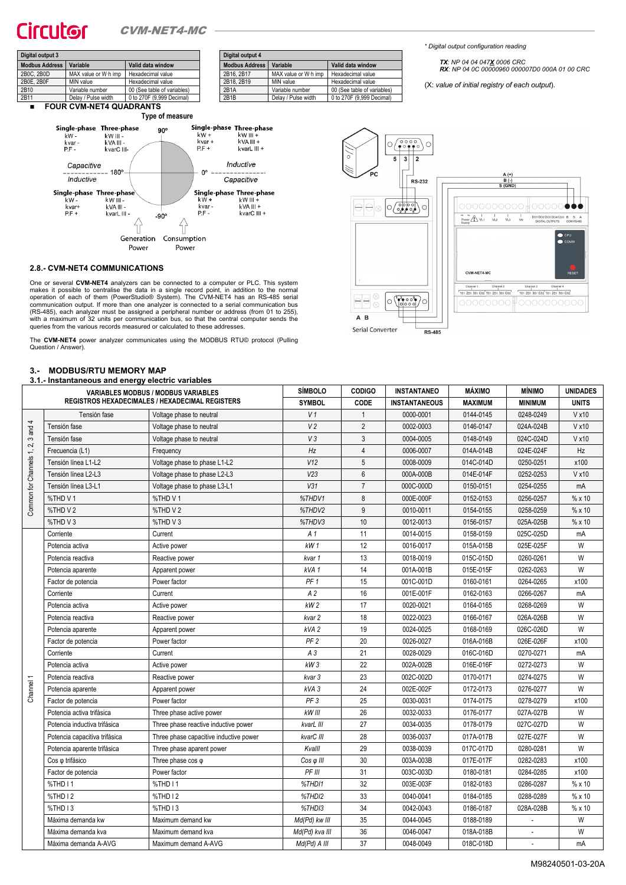## CITCLICOC CVM-NET4-MC



**Modbus Address Variable Valid data window**  2B16, 2B17 MAX value or W·h imp Hexadecimal value<br>2B18, 2B19 MIN value Hexadecimal value Hexadecimal value 2B1A Variable number 00 (See table of variables) 2B1B Delay / Pulse width 0 to 270F (9,999 Decimal) *\* Digital output configuration reading* 

*TX: NP 04 04 047X 0006 CRC RX: NP 04 0C 00000960 000007D0 000A 01 00 CRC* 

(X: *value of initial registry of each output*).



## **2.8.- CVM-NET4 COMMUNICATIONS**

One or several **CVM-NET4** analyzers can be connected to a computer or PLC. This system makes it possible to centralise the data in a single record point, in addition to the normal<br>operation of each of them (PowerStudio® System). The CVM-NET4 has an RS-485 serial<br>communication output. If more than one analyze (RS-485), each analyzer must be assigned a peripheral number or address (from 01 to 255), with a maximum of 32 units per communication bus, so that the central computer sends the queries from the various records measured or calculated to these addresses.

The **CVM-NET4** power analyzer communicates using the MODBUS RTU© protocol (Pulling Question / Answer).

#### **3.- MODBUS/RTU MEMORY MAP**

#### **3.1.- Instantaneous and energy electric variables**

| <b>REGISTROS HEXADECIMALES / HEXADECIMAL REGISTERS</b><br><b>SYMBOL</b><br>CODE<br><b>INSTANTANEOUS</b><br><b>MAXIMUM</b><br><b>MINIMUM</b><br><b>UNITS</b><br>$\overline{1}$<br>V1<br>0000-0001<br>0144-0145<br>0248-0249<br>V x 10<br>Tensión fase<br>Voltage phase to neutral<br>4<br>V <sub>2</sub><br>$\overline{2}$<br>Tensión fase<br>0002-0003<br>0146-0147<br>024A-024B<br>V x 10<br>Voltage phase to neutral<br>and<br>V3<br>$\mathbf{3}$<br>0004-0005<br>0148-0149<br>024C-024D<br>V x 10<br>Tensión fase<br>Voltage phase to neutral<br>S<br>2,<br>Hz<br>$\overline{4}$<br>Frecuencia (L1)<br>0006-0007<br>014A-014B<br>024E-024F<br>Hz<br>Frequency<br>Common for Channels 1,<br>$5\phantom{.0}$<br>V12<br>Tensión línea L1-L2<br>Voltage phase to phase L1-L2<br>0008-0009<br>014C-014D<br>0250-0251<br>x100<br>V23<br>$6\phantom{1}6$<br>000A-000B<br>V x 10<br>Tensión línea L2-L3<br>Voltage phase to phase L2-L3<br>014E-014F<br>0252-0253<br>V31<br>$\overline{7}$<br>Tensión línea L3-L1<br>Voltage phase to phase L3-L1<br>000C-000D<br>0150-0151<br>0254-0255<br>mA<br>8<br>%THD V1<br>%THD V1<br>%THDV1<br>000E-000F<br>0152-0153<br>%x10<br>0256-0257<br>9<br>%THD V2<br>%THD V2<br>%THDV2<br>0010-0011<br>0154-0155<br>0258-0259<br>%x10<br>%THD V3<br>10<br>%THD V3<br>%THDV3<br>0012-0013<br>0156-0157<br>025A-025B<br>% x 10<br>11<br>Current<br>0014-0015<br>0158-0159<br>025C-025D<br>Corriente<br>A 1<br>mA<br>12<br>kW1<br>0016-0017<br>025E-025F<br>W<br>015A-015B<br>Potencia activa<br>Active power<br>13<br>W<br>Potencia reactiva<br>Reactive power<br>0018-0019<br>015C-015D<br>0260-0261<br>kvar 1<br>14<br>001A-001B<br>015E-015F<br>W<br>Potencia aparente<br>Apparent power<br>kVA1<br>0262-0263<br>PF <sub>1</sub><br>15<br>001C-001D<br>0160-0161<br>0264-0265<br>x100<br>Factor de potencia<br>Power factor<br>16<br>A <sub>2</sub><br>001E-001F<br>0162-0163<br>Corriente<br>0266-0267<br>mA<br>Current<br>kW <sub>2</sub><br>17<br>W<br>0020-0021<br>0164-0165<br>0268-0269<br>Potencia activa<br>Active power<br>18<br>W<br>0022-0023<br>0166-0167<br>026A-026B<br>Potencia reactiva<br>Reactive power<br>kvar 2<br>19<br>0024-0025<br>0168-0169<br>026C-026D<br>W<br>kVA 2<br>Potencia aparente<br>Apparent power<br>20<br>PF <sub>2</sub><br>0026-0027<br>016A-016B<br>026E-026F<br>x100<br>Factor de potencia<br>Power factor<br>21<br>$A_3$<br>0028-0029<br>016C-016D<br>0270-0271<br>Corriente<br>Current<br>mA<br>22<br>kW3<br>002A-002B<br>016E-016F<br>W<br>Potencia activa<br>Active power<br>0272-0273<br>23<br>W<br>002C-002D<br>0170-0171<br>0274-0275<br>Potencia reactiva<br>Reactive power<br>kvar 3<br>Channel 1<br>24<br>kVA3<br>002E-002F<br>0172-0173<br>W<br>Potencia aparente<br>0276-0277<br>Apparent power<br>25<br>PF <sub>3</sub><br>0030-0031<br>0174-0175<br>0278-0279<br>x100<br>Factor de potencia<br>Power factor<br>26<br>kW III<br>0032-0033<br>0176-0177<br>W<br>Potencia activa trifásica<br>027A-027B<br>Three phase active power<br>27<br>W<br>0034-0035<br>0178-0179<br>027C-027D<br>Potencia inductiva trifásica<br>Three phase reactive inductive power<br>kvarL III<br>28<br>kvarC III<br>0036-0037<br>017A-017B<br>027E-027F<br>W<br>Potencia capacitiva trifásica<br>Three phase capacitive inductive power<br>29<br>W<br>Kvalll<br>0038-0039<br>017C-017D<br>0280-0281<br>Potencia aparente trifásica<br>Three phase aparent power<br>30<br>003A-003B<br>017E-017F<br>0282-0283<br>x100<br>Cos o trifásico<br>Three phase $cos \varphi$<br>Cos φ III<br>PF III<br>31<br>003C-003D<br>0284-0285<br>x100<br>Factor de potencia<br>Power factor<br>0180-0181<br>32<br>%THD I1<br>%THD I1<br>% x10<br>%THD11<br>003E-003F<br>0182-0183<br>0286-0287<br>33<br>%THD I2<br>%THD I2<br>%THDI2<br>0040-0041<br>0184-0185<br>0288-0289<br>%x10<br>34<br>%THD I3<br>0042-0043<br>0186-0187<br>028A-028B<br>% x 10<br>%THD I3<br>%THDI3<br>35<br>W<br>Máxima demanda kw<br>Md(Pd) kw III<br>0044-0045<br>0188-0189<br>Maximum demand kw<br>36<br>W<br>0046-0047<br>018A-018B<br>Máxima demanda kva<br>Maximum demand kva<br>Md(Pd) kva III<br>37<br>Md(Pd) A III<br>0048-0049<br>018C-018D<br>Máxima demanda A-AVG<br>Maximum demand A-AVG<br>mA | 3.1.- Instantaneous and energy electric variables | <b>VARIABLES MODBUS / MODBUS VARIABLES</b> | <b>SÍMBOLO</b> | <b>CODIGO</b> | <b>INSTANTANEO</b> | MÁXIMO | <b>MÍNIMO</b> | <b>UNIDADES</b> |
|---------------------------------------------------------------------------------------------------------------------------------------------------------------------------------------------------------------------------------------------------------------------------------------------------------------------------------------------------------------------------------------------------------------------------------------------------------------------------------------------------------------------------------------------------------------------------------------------------------------------------------------------------------------------------------------------------------------------------------------------------------------------------------------------------------------------------------------------------------------------------------------------------------------------------------------------------------------------------------------------------------------------------------------------------------------------------------------------------------------------------------------------------------------------------------------------------------------------------------------------------------------------------------------------------------------------------------------------------------------------------------------------------------------------------------------------------------------------------------------------------------------------------------------------------------------------------------------------------------------------------------------------------------------------------------------------------------------------------------------------------------------------------------------------------------------------------------------------------------------------------------------------------------------------------------------------------------------------------------------------------------------------------------------------------------------------------------------------------------------------------------------------------------------------------------------------------------------------------------------------------------------------------------------------------------------------------------------------------------------------------------------------------------------------------------------------------------------------------------------------------------------------------------------------------------------------------------------------------------------------------------------------------------------------------------------------------------------------------------------------------------------------------------------------------------------------------------------------------------------------------------------------------------------------------------------------------------------------------------------------------------------------------------------------------------------------------------------------------------------------------------------------------------------------------------------------------------------------------------------------------------------------------------------------------------------------------------------------------------------------------------------------------------------------------------------------------------------------------------------------------------------------------------------------------------------------------------------------------------------------------------------------------------------------------------------------------------------------------------------------------------------------------------------------------------------------------------------------------------------------------------------------------------------------------------------------------------------------------------------------------------------------------------------------------------------------------------------------------------------------------------------------------------------------------------------------------------------------------------|---------------------------------------------------|--------------------------------------------|----------------|---------------|--------------------|--------|---------------|-----------------|
|                                                                                                                                                                                                                                                                                                                                                                                                                                                                                                                                                                                                                                                                                                                                                                                                                                                                                                                                                                                                                                                                                                                                                                                                                                                                                                                                                                                                                                                                                                                                                                                                                                                                                                                                                                                                                                                                                                                                                                                                                                                                                                                                                                                                                                                                                                                                                                                                                                                                                                                                                                                                                                                                                                                                                                                                                                                                                                                                                                                                                                                                                                                                                                                                                                                                                                                                                                                                                                                                                                                                                                                                                                                                                                                                                                                                                                                                                                                                                                                                                                                                                                                                                                                                                                 |                                                   |                                            |                |               |                    |        |               |                 |
|                                                                                                                                                                                                                                                                                                                                                                                                                                                                                                                                                                                                                                                                                                                                                                                                                                                                                                                                                                                                                                                                                                                                                                                                                                                                                                                                                                                                                                                                                                                                                                                                                                                                                                                                                                                                                                                                                                                                                                                                                                                                                                                                                                                                                                                                                                                                                                                                                                                                                                                                                                                                                                                                                                                                                                                                                                                                                                                                                                                                                                                                                                                                                                                                                                                                                                                                                                                                                                                                                                                                                                                                                                                                                                                                                                                                                                                                                                                                                                                                                                                                                                                                                                                                                                 |                                                   |                                            |                |               |                    |        |               |                 |
|                                                                                                                                                                                                                                                                                                                                                                                                                                                                                                                                                                                                                                                                                                                                                                                                                                                                                                                                                                                                                                                                                                                                                                                                                                                                                                                                                                                                                                                                                                                                                                                                                                                                                                                                                                                                                                                                                                                                                                                                                                                                                                                                                                                                                                                                                                                                                                                                                                                                                                                                                                                                                                                                                                                                                                                                                                                                                                                                                                                                                                                                                                                                                                                                                                                                                                                                                                                                                                                                                                                                                                                                                                                                                                                                                                                                                                                                                                                                                                                                                                                                                                                                                                                                                                 |                                                   |                                            |                |               |                    |        |               |                 |
|                                                                                                                                                                                                                                                                                                                                                                                                                                                                                                                                                                                                                                                                                                                                                                                                                                                                                                                                                                                                                                                                                                                                                                                                                                                                                                                                                                                                                                                                                                                                                                                                                                                                                                                                                                                                                                                                                                                                                                                                                                                                                                                                                                                                                                                                                                                                                                                                                                                                                                                                                                                                                                                                                                                                                                                                                                                                                                                                                                                                                                                                                                                                                                                                                                                                                                                                                                                                                                                                                                                                                                                                                                                                                                                                                                                                                                                                                                                                                                                                                                                                                                                                                                                                                                 |                                                   |                                            |                |               |                    |        |               |                 |
|                                                                                                                                                                                                                                                                                                                                                                                                                                                                                                                                                                                                                                                                                                                                                                                                                                                                                                                                                                                                                                                                                                                                                                                                                                                                                                                                                                                                                                                                                                                                                                                                                                                                                                                                                                                                                                                                                                                                                                                                                                                                                                                                                                                                                                                                                                                                                                                                                                                                                                                                                                                                                                                                                                                                                                                                                                                                                                                                                                                                                                                                                                                                                                                                                                                                                                                                                                                                                                                                                                                                                                                                                                                                                                                                                                                                                                                                                                                                                                                                                                                                                                                                                                                                                                 |                                                   |                                            |                |               |                    |        |               |                 |
|                                                                                                                                                                                                                                                                                                                                                                                                                                                                                                                                                                                                                                                                                                                                                                                                                                                                                                                                                                                                                                                                                                                                                                                                                                                                                                                                                                                                                                                                                                                                                                                                                                                                                                                                                                                                                                                                                                                                                                                                                                                                                                                                                                                                                                                                                                                                                                                                                                                                                                                                                                                                                                                                                                                                                                                                                                                                                                                                                                                                                                                                                                                                                                                                                                                                                                                                                                                                                                                                                                                                                                                                                                                                                                                                                                                                                                                                                                                                                                                                                                                                                                                                                                                                                                 |                                                   |                                            |                |               |                    |        |               |                 |
|                                                                                                                                                                                                                                                                                                                                                                                                                                                                                                                                                                                                                                                                                                                                                                                                                                                                                                                                                                                                                                                                                                                                                                                                                                                                                                                                                                                                                                                                                                                                                                                                                                                                                                                                                                                                                                                                                                                                                                                                                                                                                                                                                                                                                                                                                                                                                                                                                                                                                                                                                                                                                                                                                                                                                                                                                                                                                                                                                                                                                                                                                                                                                                                                                                                                                                                                                                                                                                                                                                                                                                                                                                                                                                                                                                                                                                                                                                                                                                                                                                                                                                                                                                                                                                 |                                                   |                                            |                |               |                    |        |               |                 |
|                                                                                                                                                                                                                                                                                                                                                                                                                                                                                                                                                                                                                                                                                                                                                                                                                                                                                                                                                                                                                                                                                                                                                                                                                                                                                                                                                                                                                                                                                                                                                                                                                                                                                                                                                                                                                                                                                                                                                                                                                                                                                                                                                                                                                                                                                                                                                                                                                                                                                                                                                                                                                                                                                                                                                                                                                                                                                                                                                                                                                                                                                                                                                                                                                                                                                                                                                                                                                                                                                                                                                                                                                                                                                                                                                                                                                                                                                                                                                                                                                                                                                                                                                                                                                                 |                                                   |                                            |                |               |                    |        |               |                 |
|                                                                                                                                                                                                                                                                                                                                                                                                                                                                                                                                                                                                                                                                                                                                                                                                                                                                                                                                                                                                                                                                                                                                                                                                                                                                                                                                                                                                                                                                                                                                                                                                                                                                                                                                                                                                                                                                                                                                                                                                                                                                                                                                                                                                                                                                                                                                                                                                                                                                                                                                                                                                                                                                                                                                                                                                                                                                                                                                                                                                                                                                                                                                                                                                                                                                                                                                                                                                                                                                                                                                                                                                                                                                                                                                                                                                                                                                                                                                                                                                                                                                                                                                                                                                                                 |                                                   |                                            |                |               |                    |        |               |                 |
|                                                                                                                                                                                                                                                                                                                                                                                                                                                                                                                                                                                                                                                                                                                                                                                                                                                                                                                                                                                                                                                                                                                                                                                                                                                                                                                                                                                                                                                                                                                                                                                                                                                                                                                                                                                                                                                                                                                                                                                                                                                                                                                                                                                                                                                                                                                                                                                                                                                                                                                                                                                                                                                                                                                                                                                                                                                                                                                                                                                                                                                                                                                                                                                                                                                                                                                                                                                                                                                                                                                                                                                                                                                                                                                                                                                                                                                                                                                                                                                                                                                                                                                                                                                                                                 |                                                   |                                            |                |               |                    |        |               |                 |
|                                                                                                                                                                                                                                                                                                                                                                                                                                                                                                                                                                                                                                                                                                                                                                                                                                                                                                                                                                                                                                                                                                                                                                                                                                                                                                                                                                                                                                                                                                                                                                                                                                                                                                                                                                                                                                                                                                                                                                                                                                                                                                                                                                                                                                                                                                                                                                                                                                                                                                                                                                                                                                                                                                                                                                                                                                                                                                                                                                                                                                                                                                                                                                                                                                                                                                                                                                                                                                                                                                                                                                                                                                                                                                                                                                                                                                                                                                                                                                                                                                                                                                                                                                                                                                 |                                                   |                                            |                |               |                    |        |               |                 |
|                                                                                                                                                                                                                                                                                                                                                                                                                                                                                                                                                                                                                                                                                                                                                                                                                                                                                                                                                                                                                                                                                                                                                                                                                                                                                                                                                                                                                                                                                                                                                                                                                                                                                                                                                                                                                                                                                                                                                                                                                                                                                                                                                                                                                                                                                                                                                                                                                                                                                                                                                                                                                                                                                                                                                                                                                                                                                                                                                                                                                                                                                                                                                                                                                                                                                                                                                                                                                                                                                                                                                                                                                                                                                                                                                                                                                                                                                                                                                                                                                                                                                                                                                                                                                                 |                                                   |                                            |                |               |                    |        |               |                 |
|                                                                                                                                                                                                                                                                                                                                                                                                                                                                                                                                                                                                                                                                                                                                                                                                                                                                                                                                                                                                                                                                                                                                                                                                                                                                                                                                                                                                                                                                                                                                                                                                                                                                                                                                                                                                                                                                                                                                                                                                                                                                                                                                                                                                                                                                                                                                                                                                                                                                                                                                                                                                                                                                                                                                                                                                                                                                                                                                                                                                                                                                                                                                                                                                                                                                                                                                                                                                                                                                                                                                                                                                                                                                                                                                                                                                                                                                                                                                                                                                                                                                                                                                                                                                                                 |                                                   |                                            |                |               |                    |        |               |                 |
|                                                                                                                                                                                                                                                                                                                                                                                                                                                                                                                                                                                                                                                                                                                                                                                                                                                                                                                                                                                                                                                                                                                                                                                                                                                                                                                                                                                                                                                                                                                                                                                                                                                                                                                                                                                                                                                                                                                                                                                                                                                                                                                                                                                                                                                                                                                                                                                                                                                                                                                                                                                                                                                                                                                                                                                                                                                                                                                                                                                                                                                                                                                                                                                                                                                                                                                                                                                                                                                                                                                                                                                                                                                                                                                                                                                                                                                                                                                                                                                                                                                                                                                                                                                                                                 |                                                   |                                            |                |               |                    |        |               |                 |
|                                                                                                                                                                                                                                                                                                                                                                                                                                                                                                                                                                                                                                                                                                                                                                                                                                                                                                                                                                                                                                                                                                                                                                                                                                                                                                                                                                                                                                                                                                                                                                                                                                                                                                                                                                                                                                                                                                                                                                                                                                                                                                                                                                                                                                                                                                                                                                                                                                                                                                                                                                                                                                                                                                                                                                                                                                                                                                                                                                                                                                                                                                                                                                                                                                                                                                                                                                                                                                                                                                                                                                                                                                                                                                                                                                                                                                                                                                                                                                                                                                                                                                                                                                                                                                 |                                                   |                                            |                |               |                    |        |               |                 |
|                                                                                                                                                                                                                                                                                                                                                                                                                                                                                                                                                                                                                                                                                                                                                                                                                                                                                                                                                                                                                                                                                                                                                                                                                                                                                                                                                                                                                                                                                                                                                                                                                                                                                                                                                                                                                                                                                                                                                                                                                                                                                                                                                                                                                                                                                                                                                                                                                                                                                                                                                                                                                                                                                                                                                                                                                                                                                                                                                                                                                                                                                                                                                                                                                                                                                                                                                                                                                                                                                                                                                                                                                                                                                                                                                                                                                                                                                                                                                                                                                                                                                                                                                                                                                                 |                                                   |                                            |                |               |                    |        |               |                 |
|                                                                                                                                                                                                                                                                                                                                                                                                                                                                                                                                                                                                                                                                                                                                                                                                                                                                                                                                                                                                                                                                                                                                                                                                                                                                                                                                                                                                                                                                                                                                                                                                                                                                                                                                                                                                                                                                                                                                                                                                                                                                                                                                                                                                                                                                                                                                                                                                                                                                                                                                                                                                                                                                                                                                                                                                                                                                                                                                                                                                                                                                                                                                                                                                                                                                                                                                                                                                                                                                                                                                                                                                                                                                                                                                                                                                                                                                                                                                                                                                                                                                                                                                                                                                                                 |                                                   |                                            |                |               |                    |        |               |                 |
|                                                                                                                                                                                                                                                                                                                                                                                                                                                                                                                                                                                                                                                                                                                                                                                                                                                                                                                                                                                                                                                                                                                                                                                                                                                                                                                                                                                                                                                                                                                                                                                                                                                                                                                                                                                                                                                                                                                                                                                                                                                                                                                                                                                                                                                                                                                                                                                                                                                                                                                                                                                                                                                                                                                                                                                                                                                                                                                                                                                                                                                                                                                                                                                                                                                                                                                                                                                                                                                                                                                                                                                                                                                                                                                                                                                                                                                                                                                                                                                                                                                                                                                                                                                                                                 |                                                   |                                            |                |               |                    |        |               |                 |
|                                                                                                                                                                                                                                                                                                                                                                                                                                                                                                                                                                                                                                                                                                                                                                                                                                                                                                                                                                                                                                                                                                                                                                                                                                                                                                                                                                                                                                                                                                                                                                                                                                                                                                                                                                                                                                                                                                                                                                                                                                                                                                                                                                                                                                                                                                                                                                                                                                                                                                                                                                                                                                                                                                                                                                                                                                                                                                                                                                                                                                                                                                                                                                                                                                                                                                                                                                                                                                                                                                                                                                                                                                                                                                                                                                                                                                                                                                                                                                                                                                                                                                                                                                                                                                 |                                                   |                                            |                |               |                    |        |               |                 |
|                                                                                                                                                                                                                                                                                                                                                                                                                                                                                                                                                                                                                                                                                                                                                                                                                                                                                                                                                                                                                                                                                                                                                                                                                                                                                                                                                                                                                                                                                                                                                                                                                                                                                                                                                                                                                                                                                                                                                                                                                                                                                                                                                                                                                                                                                                                                                                                                                                                                                                                                                                                                                                                                                                                                                                                                                                                                                                                                                                                                                                                                                                                                                                                                                                                                                                                                                                                                                                                                                                                                                                                                                                                                                                                                                                                                                                                                                                                                                                                                                                                                                                                                                                                                                                 |                                                   |                                            |                |               |                    |        |               |                 |
|                                                                                                                                                                                                                                                                                                                                                                                                                                                                                                                                                                                                                                                                                                                                                                                                                                                                                                                                                                                                                                                                                                                                                                                                                                                                                                                                                                                                                                                                                                                                                                                                                                                                                                                                                                                                                                                                                                                                                                                                                                                                                                                                                                                                                                                                                                                                                                                                                                                                                                                                                                                                                                                                                                                                                                                                                                                                                                                                                                                                                                                                                                                                                                                                                                                                                                                                                                                                                                                                                                                                                                                                                                                                                                                                                                                                                                                                                                                                                                                                                                                                                                                                                                                                                                 |                                                   |                                            |                |               |                    |        |               |                 |
|                                                                                                                                                                                                                                                                                                                                                                                                                                                                                                                                                                                                                                                                                                                                                                                                                                                                                                                                                                                                                                                                                                                                                                                                                                                                                                                                                                                                                                                                                                                                                                                                                                                                                                                                                                                                                                                                                                                                                                                                                                                                                                                                                                                                                                                                                                                                                                                                                                                                                                                                                                                                                                                                                                                                                                                                                                                                                                                                                                                                                                                                                                                                                                                                                                                                                                                                                                                                                                                                                                                                                                                                                                                                                                                                                                                                                                                                                                                                                                                                                                                                                                                                                                                                                                 |                                                   |                                            |                |               |                    |        |               |                 |
|                                                                                                                                                                                                                                                                                                                                                                                                                                                                                                                                                                                                                                                                                                                                                                                                                                                                                                                                                                                                                                                                                                                                                                                                                                                                                                                                                                                                                                                                                                                                                                                                                                                                                                                                                                                                                                                                                                                                                                                                                                                                                                                                                                                                                                                                                                                                                                                                                                                                                                                                                                                                                                                                                                                                                                                                                                                                                                                                                                                                                                                                                                                                                                                                                                                                                                                                                                                                                                                                                                                                                                                                                                                                                                                                                                                                                                                                                                                                                                                                                                                                                                                                                                                                                                 |                                                   |                                            |                |               |                    |        |               |                 |
|                                                                                                                                                                                                                                                                                                                                                                                                                                                                                                                                                                                                                                                                                                                                                                                                                                                                                                                                                                                                                                                                                                                                                                                                                                                                                                                                                                                                                                                                                                                                                                                                                                                                                                                                                                                                                                                                                                                                                                                                                                                                                                                                                                                                                                                                                                                                                                                                                                                                                                                                                                                                                                                                                                                                                                                                                                                                                                                                                                                                                                                                                                                                                                                                                                                                                                                                                                                                                                                                                                                                                                                                                                                                                                                                                                                                                                                                                                                                                                                                                                                                                                                                                                                                                                 |                                                   |                                            |                |               |                    |        |               |                 |
|                                                                                                                                                                                                                                                                                                                                                                                                                                                                                                                                                                                                                                                                                                                                                                                                                                                                                                                                                                                                                                                                                                                                                                                                                                                                                                                                                                                                                                                                                                                                                                                                                                                                                                                                                                                                                                                                                                                                                                                                                                                                                                                                                                                                                                                                                                                                                                                                                                                                                                                                                                                                                                                                                                                                                                                                                                                                                                                                                                                                                                                                                                                                                                                                                                                                                                                                                                                                                                                                                                                                                                                                                                                                                                                                                                                                                                                                                                                                                                                                                                                                                                                                                                                                                                 |                                                   |                                            |                |               |                    |        |               |                 |
|                                                                                                                                                                                                                                                                                                                                                                                                                                                                                                                                                                                                                                                                                                                                                                                                                                                                                                                                                                                                                                                                                                                                                                                                                                                                                                                                                                                                                                                                                                                                                                                                                                                                                                                                                                                                                                                                                                                                                                                                                                                                                                                                                                                                                                                                                                                                                                                                                                                                                                                                                                                                                                                                                                                                                                                                                                                                                                                                                                                                                                                                                                                                                                                                                                                                                                                                                                                                                                                                                                                                                                                                                                                                                                                                                                                                                                                                                                                                                                                                                                                                                                                                                                                                                                 |                                                   |                                            |                |               |                    |        |               |                 |
|                                                                                                                                                                                                                                                                                                                                                                                                                                                                                                                                                                                                                                                                                                                                                                                                                                                                                                                                                                                                                                                                                                                                                                                                                                                                                                                                                                                                                                                                                                                                                                                                                                                                                                                                                                                                                                                                                                                                                                                                                                                                                                                                                                                                                                                                                                                                                                                                                                                                                                                                                                                                                                                                                                                                                                                                                                                                                                                                                                                                                                                                                                                                                                                                                                                                                                                                                                                                                                                                                                                                                                                                                                                                                                                                                                                                                                                                                                                                                                                                                                                                                                                                                                                                                                 |                                                   |                                            |                |               |                    |        |               |                 |
|                                                                                                                                                                                                                                                                                                                                                                                                                                                                                                                                                                                                                                                                                                                                                                                                                                                                                                                                                                                                                                                                                                                                                                                                                                                                                                                                                                                                                                                                                                                                                                                                                                                                                                                                                                                                                                                                                                                                                                                                                                                                                                                                                                                                                                                                                                                                                                                                                                                                                                                                                                                                                                                                                                                                                                                                                                                                                                                                                                                                                                                                                                                                                                                                                                                                                                                                                                                                                                                                                                                                                                                                                                                                                                                                                                                                                                                                                                                                                                                                                                                                                                                                                                                                                                 |                                                   |                                            |                |               |                    |        |               |                 |
|                                                                                                                                                                                                                                                                                                                                                                                                                                                                                                                                                                                                                                                                                                                                                                                                                                                                                                                                                                                                                                                                                                                                                                                                                                                                                                                                                                                                                                                                                                                                                                                                                                                                                                                                                                                                                                                                                                                                                                                                                                                                                                                                                                                                                                                                                                                                                                                                                                                                                                                                                                                                                                                                                                                                                                                                                                                                                                                                                                                                                                                                                                                                                                                                                                                                                                                                                                                                                                                                                                                                                                                                                                                                                                                                                                                                                                                                                                                                                                                                                                                                                                                                                                                                                                 |                                                   |                                            |                |               |                    |        |               |                 |
|                                                                                                                                                                                                                                                                                                                                                                                                                                                                                                                                                                                                                                                                                                                                                                                                                                                                                                                                                                                                                                                                                                                                                                                                                                                                                                                                                                                                                                                                                                                                                                                                                                                                                                                                                                                                                                                                                                                                                                                                                                                                                                                                                                                                                                                                                                                                                                                                                                                                                                                                                                                                                                                                                                                                                                                                                                                                                                                                                                                                                                                                                                                                                                                                                                                                                                                                                                                                                                                                                                                                                                                                                                                                                                                                                                                                                                                                                                                                                                                                                                                                                                                                                                                                                                 |                                                   |                                            |                |               |                    |        |               |                 |
|                                                                                                                                                                                                                                                                                                                                                                                                                                                                                                                                                                                                                                                                                                                                                                                                                                                                                                                                                                                                                                                                                                                                                                                                                                                                                                                                                                                                                                                                                                                                                                                                                                                                                                                                                                                                                                                                                                                                                                                                                                                                                                                                                                                                                                                                                                                                                                                                                                                                                                                                                                                                                                                                                                                                                                                                                                                                                                                                                                                                                                                                                                                                                                                                                                                                                                                                                                                                                                                                                                                                                                                                                                                                                                                                                                                                                                                                                                                                                                                                                                                                                                                                                                                                                                 |                                                   |                                            |                |               |                    |        |               |                 |
|                                                                                                                                                                                                                                                                                                                                                                                                                                                                                                                                                                                                                                                                                                                                                                                                                                                                                                                                                                                                                                                                                                                                                                                                                                                                                                                                                                                                                                                                                                                                                                                                                                                                                                                                                                                                                                                                                                                                                                                                                                                                                                                                                                                                                                                                                                                                                                                                                                                                                                                                                                                                                                                                                                                                                                                                                                                                                                                                                                                                                                                                                                                                                                                                                                                                                                                                                                                                                                                                                                                                                                                                                                                                                                                                                                                                                                                                                                                                                                                                                                                                                                                                                                                                                                 |                                                   |                                            |                |               |                    |        |               |                 |
|                                                                                                                                                                                                                                                                                                                                                                                                                                                                                                                                                                                                                                                                                                                                                                                                                                                                                                                                                                                                                                                                                                                                                                                                                                                                                                                                                                                                                                                                                                                                                                                                                                                                                                                                                                                                                                                                                                                                                                                                                                                                                                                                                                                                                                                                                                                                                                                                                                                                                                                                                                                                                                                                                                                                                                                                                                                                                                                                                                                                                                                                                                                                                                                                                                                                                                                                                                                                                                                                                                                                                                                                                                                                                                                                                                                                                                                                                                                                                                                                                                                                                                                                                                                                                                 |                                                   |                                            |                |               |                    |        |               |                 |
|                                                                                                                                                                                                                                                                                                                                                                                                                                                                                                                                                                                                                                                                                                                                                                                                                                                                                                                                                                                                                                                                                                                                                                                                                                                                                                                                                                                                                                                                                                                                                                                                                                                                                                                                                                                                                                                                                                                                                                                                                                                                                                                                                                                                                                                                                                                                                                                                                                                                                                                                                                                                                                                                                                                                                                                                                                                                                                                                                                                                                                                                                                                                                                                                                                                                                                                                                                                                                                                                                                                                                                                                                                                                                                                                                                                                                                                                                                                                                                                                                                                                                                                                                                                                                                 |                                                   |                                            |                |               |                    |        |               |                 |
|                                                                                                                                                                                                                                                                                                                                                                                                                                                                                                                                                                                                                                                                                                                                                                                                                                                                                                                                                                                                                                                                                                                                                                                                                                                                                                                                                                                                                                                                                                                                                                                                                                                                                                                                                                                                                                                                                                                                                                                                                                                                                                                                                                                                                                                                                                                                                                                                                                                                                                                                                                                                                                                                                                                                                                                                                                                                                                                                                                                                                                                                                                                                                                                                                                                                                                                                                                                                                                                                                                                                                                                                                                                                                                                                                                                                                                                                                                                                                                                                                                                                                                                                                                                                                                 |                                                   |                                            |                |               |                    |        |               |                 |
|                                                                                                                                                                                                                                                                                                                                                                                                                                                                                                                                                                                                                                                                                                                                                                                                                                                                                                                                                                                                                                                                                                                                                                                                                                                                                                                                                                                                                                                                                                                                                                                                                                                                                                                                                                                                                                                                                                                                                                                                                                                                                                                                                                                                                                                                                                                                                                                                                                                                                                                                                                                                                                                                                                                                                                                                                                                                                                                                                                                                                                                                                                                                                                                                                                                                                                                                                                                                                                                                                                                                                                                                                                                                                                                                                                                                                                                                                                                                                                                                                                                                                                                                                                                                                                 |                                                   |                                            |                |               |                    |        |               |                 |
|                                                                                                                                                                                                                                                                                                                                                                                                                                                                                                                                                                                                                                                                                                                                                                                                                                                                                                                                                                                                                                                                                                                                                                                                                                                                                                                                                                                                                                                                                                                                                                                                                                                                                                                                                                                                                                                                                                                                                                                                                                                                                                                                                                                                                                                                                                                                                                                                                                                                                                                                                                                                                                                                                                                                                                                                                                                                                                                                                                                                                                                                                                                                                                                                                                                                                                                                                                                                                                                                                                                                                                                                                                                                                                                                                                                                                                                                                                                                                                                                                                                                                                                                                                                                                                 |                                                   |                                            |                |               |                    |        |               |                 |
|                                                                                                                                                                                                                                                                                                                                                                                                                                                                                                                                                                                                                                                                                                                                                                                                                                                                                                                                                                                                                                                                                                                                                                                                                                                                                                                                                                                                                                                                                                                                                                                                                                                                                                                                                                                                                                                                                                                                                                                                                                                                                                                                                                                                                                                                                                                                                                                                                                                                                                                                                                                                                                                                                                                                                                                                                                                                                                                                                                                                                                                                                                                                                                                                                                                                                                                                                                                                                                                                                                                                                                                                                                                                                                                                                                                                                                                                                                                                                                                                                                                                                                                                                                                                                                 |                                                   |                                            |                |               |                    |        |               |                 |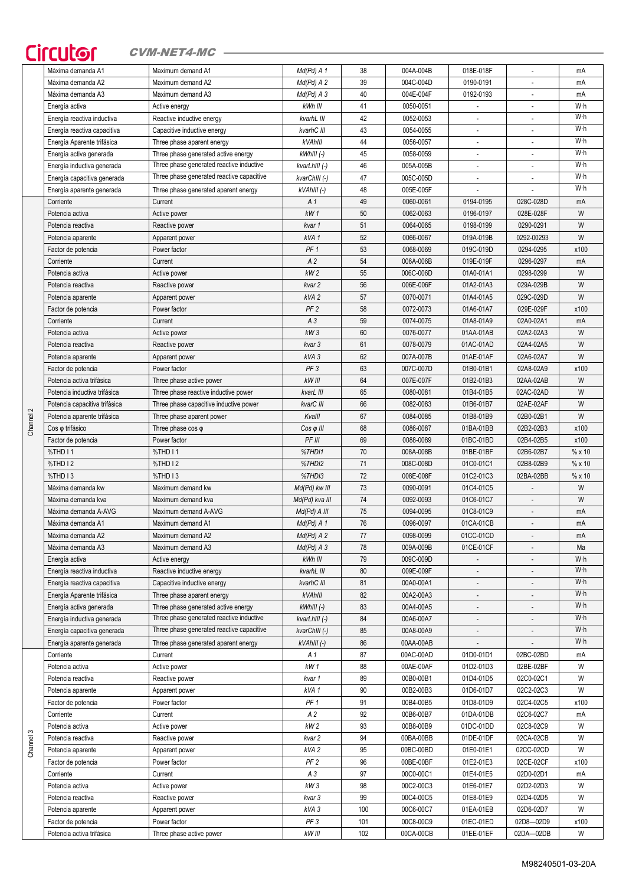## Circutor CVM-NET4-MC

|           | Máxima demanda A1             | Maximum demand A1                         | Md(Pd) A 1        | 38  | 004A-004B | 018E-018F                |                          | mA   |
|-----------|-------------------------------|-------------------------------------------|-------------------|-----|-----------|--------------------------|--------------------------|------|
|           | Máxima demanda A2             | Maximum demand A2                         | $Md(Pd)$ A 2      | 39  | 004C-004D | 0190-0191                | $\blacksquare$           | mA   |
|           | Máxima demanda A3             | Maximum demand A3                         | $Md(Pd)$ A 3      | 40  | 004E-004F | 0192-0193                | $\blacksquare$           | mA   |
|           | Energía activa                | Active energy                             | kWh III           | 41  | 0050-0051 |                          | $\overline{\phantom{a}}$ | W∙h  |
|           | Energía reactiva inductiva    | Reactive inductive energy                 | kvarhL III        | 42  | 0052-0053 |                          |                          | W·h  |
|           |                               |                                           |                   |     |           |                          |                          | W·h  |
|           | Energía reactiva capacitiva   | Capacitive inductive energy               | kvarhC III        | 43  | 0054-0055 |                          | $\overline{\phantom{a}}$ |      |
|           | Energía Aparente trifásica    | Three phase aparent energy                | kVAhlll           | 44  | 0056-0057 | $\overline{\phantom{a}}$ |                          | W·h  |
|           | Energía activa generada       | Three phase generated active energy       | $kWhIII$ (-)      | 45  | 0058-0059 |                          |                          | W·h  |
|           | Energía inductiva generada    | Three phase generated reactive inductive  | kvarLhIII (-)     | 46  | 005A-005B |                          |                          | W·h  |
|           | Energía capacitiva generada   | Three phase generated reactive capacitive | kvarChIII (-)     | 47  | 005C-005D | $\overline{\phantom{a}}$ | ÷.                       | W·h  |
|           | Energía aparente generada     | Three phase generated aparent energy      | kVAhIII (-)       | 48  | 005E-005F |                          |                          | W·h  |
|           | Corriente                     | Current                                   | A 1               | 49  | 0060-0061 | 0194-0195                | 028C-028D                | mA   |
|           |                               |                                           |                   |     |           |                          |                          |      |
|           | Potencia activa               | Active power                              | kW <sub>1</sub>   | 50  | 0062-0063 | 0196-0197                | 028E-028F                | W    |
|           | Potencia reactiva             | Reactive power                            | kvar 1            | 51  | 0064-0065 | 0198-0199                | 0290-0291                | W    |
|           | Potencia aparente             | Apparent power                            | kVA1              | 52  | 0066-0067 | 019A-019B                | 0292-00293               | W    |
|           | Factor de potencia            | Power factor                              | PF <sub>1</sub>   | 53  | 0068-0069 | 019C-019D                | 0294-0295                | x100 |
|           | Corriente                     | Current                                   | A <sub>2</sub>    | 54  | 006A-006B | 019E-019F                | 0296-0297                | mA   |
|           | Potencia activa               | Active power                              | kW <sub>2</sub>   | 55  | 006C-006D | 01A0-01A1                | 0298-0299                | W    |
|           | Potencia reactiva             | Reactive power                            | kvar 2            | 56  | 006E-006F | 01A2-01A3                | 029A-029B                | W    |
|           |                               |                                           |                   |     |           |                          |                          |      |
|           | Potencia aparente             | Apparent power                            | kVA <sub>2</sub>  | 57  | 0070-0071 | 01A4-01A5                | 029C-029D                | W    |
|           | Factor de potencia            | Power factor                              | PF <sub>2</sub>   | 58  | 0072-0073 | 01A6-01A7                | 029E-029F                | x100 |
|           | Corriente                     | Current                                   | $A_3$             | 59  | 0074-0075 | 01A8-01A9                | 02A0-02A1                | mA   |
|           | Potencia activa               | Active power                              | kW3               | 60  | 0076-0077 | 01AA-01AB                | 02A2-02A3                | W    |
|           | Potencia reactiva             | Reactive power                            | kvar 3            | 61  | 0078-0079 | 01AC-01AD                | 02A4-02A5                | W    |
|           | Potencia aparente             | Apparent power                            | kVA3              | 62  | 007A-007B | 01AE-01AF                | 02A6-02A7                | W    |
|           |                               | Power factor                              | PF <sub>3</sub>   | 63  | 007C-007D | 01B0-01B1                | 02A8-02A9                | x100 |
|           | Factor de potencia            |                                           |                   |     |           |                          |                          |      |
|           | Potencia activa trifásica     | Three phase active power                  | kW III            | 64  | 007E-007F | 01B2-01B3                | 02AA-02AB                | W    |
|           | Potencia inductiva trifásica  | Three phase reactive inductive power      | kvarL III         | 65  | 0080-0081 | 01B4-01B5                | 02AC-02AD                | W    |
|           | Potencia capacitiva trifásica | Three phase capacitive inductive power    | kvarC III         | 66  | 0082-0083 | 01B6-01B7                | 02AE-02AF                | W    |
| Channel 2 | Potencia aparente trifásica   | Three phase aparent power                 | Kvalll            | 67  | 0084-0085 | 01B8-01B9                | 02B0-02B1                | W    |
|           | Cos o trifásico               | Three phase $cos \varphi$                 | $Cos \varphi$ III | 68  | 0086-0087 | 01BA-01BB                | 02B2-02B3                | x100 |
|           | Factor de potencia            | Power factor                              | PF III            | 69  | 0088-0089 | 01BC-01BD                | 02B4-02B5                | x100 |
|           |                               |                                           |                   | 70  |           |                          |                          | %x10 |
|           | %THD I1                       | %THD I1                                   | %THD11            |     | 008A-008B | 01BE-01BF                | 02B6-02B7                |      |
|           | %THD I2                       | %THD I 2                                  | %THDI2            | 71  | 008C-008D | 01C0-01C1                | 02B8-02B9                | %x10 |
|           | %THD I3                       | %THD I3                                   | %THDI3            | 72  | 008E-008F | 01C2-01C3                | 02BA-02BB                | %x10 |
|           | Máxima demanda kw             | Maximum demand kw                         | Md(Pd) kw III     | 73  | 0090-0091 | 01C4-01C5                |                          | W    |
|           | Máxima demanda kva            | Maximum demand kva                        | Md(Pd) kva III    | 74  | 0092-0093 | 01C6-01C7                |                          | W    |
|           | Máxima demanda A-AVG          | Maximum demand A-AVG                      | Md(Pd) A III      | 75  | 0094-0095 | 01C8-01C9                |                          | mA   |
|           | Máxima demanda A1             | Maximum demand A1                         | $Md(Pd)$ A 1      | 76  | 0096-0097 | 01CA-01CB                | $\overline{\phantom{a}}$ | mA   |
|           |                               |                                           |                   |     | 0098-0099 |                          |                          |      |
|           | Máxima demanda A2             | Maximum demand A2                         | $Md(Pd)$ A 2      | 77  |           | 01CC-01CD                |                          | mA   |
|           | Máxima demanda A3             | Maximum demand A3                         | $Md(Pd)$ A 3      | 78  | 009A-009B | 01CE-01CF                |                          | Ma   |
|           | Energía activa                | Active energy                             | kWh III           | 79  | 009C-009D | $\overline{\phantom{a}}$ |                          | W∙h  |
|           | Energía reactiva inductiva    | Reactive inductive energy                 | kvarhL III        | 80  | 009E-009F |                          |                          | W·h  |
|           | Energía reactiva capacitiva   | Capacitive inductive energy               | kvarhC III        | 81  | 00A0-00A1 | $\overline{\phantom{a}}$ |                          | W·h  |
|           | Energía Aparente trifásica    | Three phase aparent energy                | kVAhlll           | 82  | 00A2-00A3 |                          |                          | W·h  |
|           | Energía activa generada       | Three phase generated active energy       | $kWhIII$ (-)      | 83  | 00A4-00A5 |                          |                          | W·h  |
|           |                               | Three phase generated reactive inductive  | kvarLhIII (-)     | 84  | 00A6-00A7 | $\overline{\phantom{a}}$ |                          | W·h  |
|           | Energía inductiva generada    | Three phase generated reactive capacitive |                   |     |           |                          |                          | W·h  |
|           | Energía capacitiva generada   |                                           | kvarChIII (-)     | 85  | 00A8-00A9 | $\overline{\phantom{a}}$ | $\blacksquare$           |      |
|           | Energía aparente generada     | Three phase generated aparent energy      | kVAhlII (-)       | 86  | 00AA-00AB |                          |                          | W∙h  |
|           | Corriente                     | Current                                   | A 1               | 87  | 00AC-00AD | 01D0-01D1                | 02BC-02BD                | mA   |
|           | Potencia activa               | Active power                              | kW 1              | 88  | 00AE-00AF | 01D2-01D3                | 02BE-02BF                | W    |
|           | Potencia reactiva             | Reactive power                            | kvar 1            | 89  | 00B0-00B1 | 01D4-01D5                | 02C0-02C1                | W    |
|           | Potencia aparente             | Apparent power                            | kVA <sub>1</sub>  | 90  | 00B2-00B3 | 01D6-01D7                | 02C2-02C3                | W    |
|           | Factor de potencia            | Power factor                              | PF <sub>1</sub>   | 91  | 00B4-00B5 | 01D8-01D9                | 02C4-02C5                | x100 |
|           |                               |                                           |                   |     |           |                          |                          |      |
|           | Corriente                     | Current                                   | A 2               | 92  | 00B6-00B7 | 01DA-01DB                | 02C6-02C7                | mA   |
|           | Potencia activa               | Active power                              | kW <sub>2</sub>   | 93  | 00B8-00B9 | 01DC-01DD                | 02C8-02C9                | W    |
| Channel 3 | Potencia reactiva             | Reactive power                            | kvar 2            | 94  | 00BA-00BB | 01DE-01DF                | 02CA-02CB                | W    |
|           | Potencia aparente             | Apparent power                            | kVA <sub>2</sub>  | 95  | 00BC-00BD | 01E0-01E1                | 02CC-02CD                | W    |
|           | Factor de potencia            | Power factor                              | PF <sub>2</sub>   | 96  | 00BE-00BF | 01E2-01E3                | 02CE-02CF                | x100 |
|           | Corriente                     | Current                                   | A3                | 97  | 00C0-00C1 | 01E4-01E5                | 02D0-02D1                | mA   |
|           | Potencia activa               |                                           | kW3               | 98  | 00C2-00C3 | 01E6-01E7                | 02D2-02D3                | W    |
|           |                               | Active power                              |                   |     |           |                          |                          |      |
|           | Potencia reactiva             | Reactive power                            | kvar 3            | 99  | 00C4-00C5 | 01E8-01E9                | 02D4-02D5                | W    |
|           | Potencia aparente             | Apparent power                            | kVA3              | 100 | 00C6-00C7 | 01EA-01EB                | 02D6-02D7                | W    |
|           | Factor de potencia            | Power factor                              | PF <sub>3</sub>   | 101 | 00C8-00C9 | 01EC-01ED                | 02D8-02D9                | x100 |
|           | Potencia activa trifásica     | Three phase active power                  | kW III            | 102 | 00CA-00CB | 01EE-01EF                | 02DA-02DB                | W    |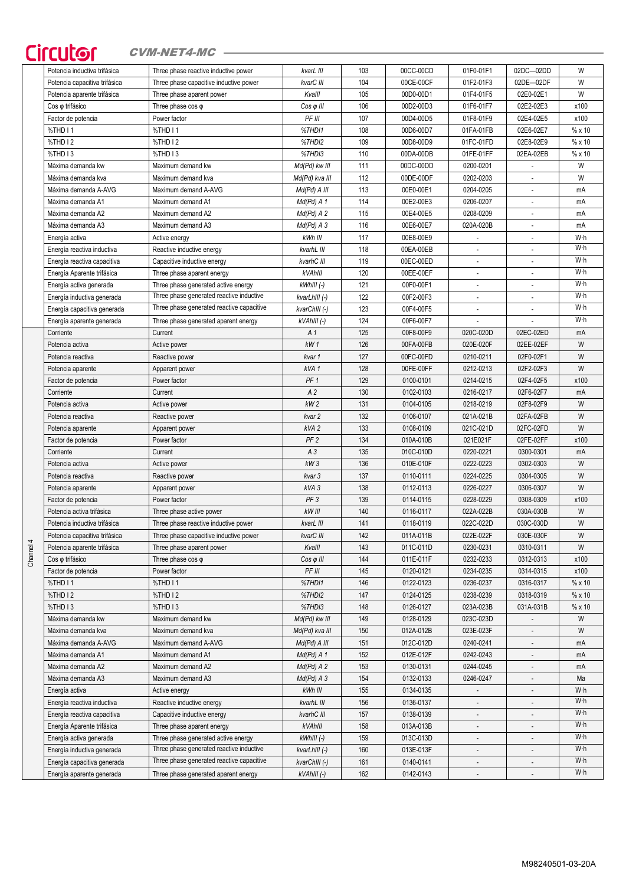# Circutor CVM-NET4-MC

| Potencia inductiva trifásica            | Three phase reactive inductive power                                            | kvarL III                       | 103        | 00CC-00CD | 01F0-01F1                | 02DC-02DD                | W          |
|-----------------------------------------|---------------------------------------------------------------------------------|---------------------------------|------------|-----------|--------------------------|--------------------------|------------|
| Potencia capacitiva trifásica           | Three phase capacitive inductive power                                          | kvarC III                       | 104        | 00CE-00CF | 01F2-01F3                | 02DE-02DF                | W          |
| Potencia aparente trifásica             | Three phase aparent power                                                       | Kvalll                          | 105        | 00D0-00D1 | 01F4-01F5                | 02E0-02E1                | W          |
| Cos o trifásico                         | Three phase $cos \varphi$                                                       | $Cos \varphi$ III               | 106        | 00D2-00D3 | 01F6-01F7                | 02E2-02E3                | x100       |
| Factor de potencia                      | Power factor                                                                    | PF III                          | 107        | 00D4-00D5 | 01F8-01F9                | 02E4-02E5                | x100       |
| %THD I1                                 | %THD I1                                                                         | %THDI1                          | 108        | 00D6-00D7 | 01FA-01FB                | 02E6-02E7                | %x10       |
| %THD I2                                 | %THD I2                                                                         | %THDI2                          | 109        | 00D8-00D9 | 01FC-01FD                | 02E8-02E9                | %x10       |
| %THD <sub>13</sub>                      | %THD <sub>13</sub>                                                              | %THDI3                          | 110        | 00DA-00DB | 01FE-01FF                | 02EA-02EB                | %x10       |
| Máxima demanda kw                       | Maximum demand kw                                                               | Md(Pd) kw III                   | 111        | 00DC-00DD | 0200-0201                |                          | W          |
| Máxima demanda kva                      | Maximum demand kva                                                              | Md(Pd) kva III                  | 112        | 00DE-00DF | 0202-0203                | ÷,                       | W          |
| Máxima demanda A-AVG                    | Maximum demand A-AVG                                                            | Md(Pd) A III                    | 113        | 00E0-00E1 | 0204-0205                | $\overline{\phantom{a}}$ | mA         |
| Máxima demanda A1                       | Maximum demand A1                                                               | $Md(Pd)$ A 1                    | 114        | 00E2-00E3 | 0206-0207                | $\overline{\phantom{a}}$ | mA         |
| Máxima demanda A2                       | Maximum demand A2                                                               | $Md(Pd)$ A 2                    | 115        | 00E4-00E5 | 0208-0209                | $\overline{a}$           | mA         |
| Máxima demanda A3                       | Maximum demand A3                                                               | Md(Pd) A 3                      | 116        | 00E6-00E7 | 020A-020B                | ÷,                       | mA         |
| Energía activa                          | Active energy                                                                   | kWh III                         | 117        | 00E8-00E9 | ÷,                       | $\overline{a}$           | W·h        |
| Energía reactiva inductiva              | Reactive inductive energy                                                       | kvarhL III                      | 118        | 00EA-00EB | $\blacksquare$           |                          | W·h        |
| Energía reactiva capacitiva             | Capacitive inductive energy                                                     | kvarhC III                      | 119        | 00EC-00ED |                          |                          | W·h        |
| Energía Aparente trifásica              | Three phase aparent energy                                                      | kVAhlll                         | 120        | 00EE-00EF |                          |                          | W·h        |
| Energía activa generada                 | Three phase generated active energy                                             | kWhIII (-)                      | 121        | 00F0-00F1 | $\sim$                   | ÷,                       | W·h        |
| Energía inductiva generada              | Three phase generated reactive inductive                                        | kvarLhIII (-)                   | 122        | 00F2-00F3 | $\overline{\phantom{a}}$ | $\overline{\phantom{a}}$ | W·h        |
| Energía capacitiva generada             | Three phase generated reactive capacitive                                       | kvarChIII (-)                   | 123        | 00F4-00F5 | $\overline{a}$           | ÷,                       | W·h        |
| Energía aparente generada               | Three phase generated aparent energy                                            | kVAhIII (-)                     | 124        | 00F6-00F7 | $\overline{a}$           |                          | W·h        |
| Corriente                               | Current                                                                         | A 1                             | 125        | 00F8-00F9 | 020C-020D                | 02EC-02ED                | mA         |
| Potencia activa                         | Active power                                                                    | kW1                             | 126        | 00FA-00FB | 020E-020F                | 02EE-02EF                | W          |
| Potencia reactiva                       | Reactive power                                                                  | kvar 1                          | 127        | 00FC-00FD | 0210-0211                | 02F0-02F1                | W          |
| Potencia aparente                       | Apparent power                                                                  | kVA <sub>1</sub>                | 128        | 00FE-00FF | 0212-0213                | 02F2-02F3                | W          |
| Factor de potencia                      | Power factor                                                                    | PF <sub>1</sub>                 | 129        | 0100-0101 | 0214-0215                | 02F4-02F5                | x100       |
| Corriente                               | Current                                                                         | A <sub>2</sub>                  | 130        | 0102-0103 | 0216-0217                | 02F6-02F7                | mA         |
| Potencia activa                         | Active power                                                                    | kW <sub>2</sub>                 | 131        | 0104-0105 | 0218-0219                | 02F8-02F9                | W          |
| Potencia reactiva                       | Reactive power                                                                  | kvar 2                          | 132        | 0106-0107 | 021A-021B                | 02FA-02FB                | W          |
| Potencia aparente                       | Apparent power                                                                  | kVA 2                           | 133        | 0108-0109 | 021C-021D                | 02FC-02FD                | W          |
| Factor de potencia                      | Power factor                                                                    | PF <sub>2</sub>                 | 134        | 010A-010B | 021E021F                 | 02FE-02FF                | x100       |
| Corriente                               | Current                                                                         | A3                              | 135        | 010C-010D | 0220-0221                | 0300-0301                | mA         |
| Potencia activa                         | Active power                                                                    | kW3                             | 136        | 010E-010F | 0222-0223                | 0302-0303                | W          |
| Potencia reactiva                       | Reactive power                                                                  | kvar 3                          | 137        | 0110-0111 | 0224-0225                | 0304-0305                | W          |
| Potencia aparente                       | Apparent power                                                                  | kVA 3                           | 138        | 0112-0113 | 0226-0227                | 0306-0307                | W          |
| Factor de potencia                      | Power factor                                                                    | PF <sub>3</sub>                 | 139        | 0114-0115 | 0228-0229                | 0308-0309                | x100       |
| Potencia activa trifásica               | Three phase active power                                                        | kW III                          | 140        | 0116-0117 | 022A-022B                | 030A-030B                | W          |
| Potencia inductiva trifásica            | Three phase reactive inductive power                                            | kvarL III                       | 141        | 0118-0119 | 022C-022D                | 030C-030D                | W          |
| Potencia capacitiva trifásica           | Three phase capacitive inductive power                                          | kvarC III                       | 142        | 011A-011B | 022E-022F                | 030E-030F                | W          |
| Potencia aparente trifásica             | Three phase aparent power                                                       | Kvalll                          | 143        | 011C-011D | 0230-0231                | 0310-0311                | W          |
| Cos o trifásico                         | Three phase $cos \varphi$                                                       | $Cos \varphi$ III               | 144        | 011E-011F | 0232-0233                | 0312-0313                | x100       |
| Factor de potencia                      | Power factor                                                                    | PF III                          | 145        | 0120-0121 | 0234-0235                | 0314-0315                | x100       |
| %THD I1                                 | %THD I1                                                                         | %THD11                          | 146        | 0122-0123 | 0236-0237                | 0316-0317                | %x10       |
| %THD I2                                 | %THD I2                                                                         | %THDI2                          | 147        | 0124-0125 | 0238-0239                | 0318-0319                | %x10       |
| %THD I3                                 | %THD I3                                                                         | %THDI3                          | 148        | 0126-0127 | 023A-023B                | 031A-031B                | %x10       |
|                                         |                                                                                 |                                 |            | 0128-0129 | 023C-023D                |                          | W          |
| Máxima demanda kw<br>Máxima demanda kva | Maximum demand kw<br>Maximum demand kva                                         | Md(Pd) kw III<br>Md(Pd) kva III | 149<br>150 | 012A-012B | 023E-023F                |                          | W          |
| Máxima demanda A-AVG                    | Maximum demand A-AVG                                                            | Md(Pd) A III                    | 151        | 012C-012D | 0240-0241                |                          |            |
| Máxima demanda A1                       | Maximum demand A1                                                               | $Md(Pd)$ A 1                    | 152        | 012E-012F | 0242-0243                | $\overline{\phantom{a}}$ | mA<br>mA   |
|                                         | Maximum demand A2                                                               |                                 |            |           |                          |                          |            |
| Máxima demanda A2                       |                                                                                 | $Md(Pd)$ A 2                    | 153        | 0130-0131 | 0244-0245                |                          | mA         |
| Máxima demanda A3                       | Maximum demand A3                                                               | $Md(Pd)$ A 3                    | 154<br>155 | 0132-0133 | 0246-0247                |                          | Ma         |
| Energía activa                          | Active energy                                                                   | kWh III                         |            | 0134-0135 |                          |                          | W·h<br>W·h |
| Energía reactiva inductiva              | Reactive inductive energy                                                       | kvarhL III                      | 156        | 0136-0137 |                          |                          | W·h        |
| Energía reactiva capacitiva             | Capacitive inductive energy                                                     | kvarhC III                      | 157        | 0138-0139 |                          |                          | W·h        |
| Energía Aparente trifásica              | Three phase aparent energy                                                      | kVAhlll                         | 158        | 013A-013B | $\overline{\phantom{a}}$ |                          | W·h        |
| Energía activa generada                 | Three phase generated active energy<br>Three phase generated reactive inductive | $kWhIII$ (-)                    | 159        | 013C-013D | $\overline{\phantom{a}}$ | $\overline{a}$           | Wh         |
| Energía inductiva generada              |                                                                                 | kvarLhIII (-)                   | 160        | 013E-013F | $\overline{\phantom{a}}$ | $\centerdot$             | W·h        |
| Energía capacitiva generada             | Three phase generated reactive capacitive                                       | kvarChIII (-)                   | 161        | 0140-0141 | $\overline{\phantom{a}}$ |                          |            |
| Energía aparente generada               | Three phase generated aparent energy                                            | kVAhlII (-)                     | 162        | 0142-0143 | $\blacksquare$           |                          | W·h        |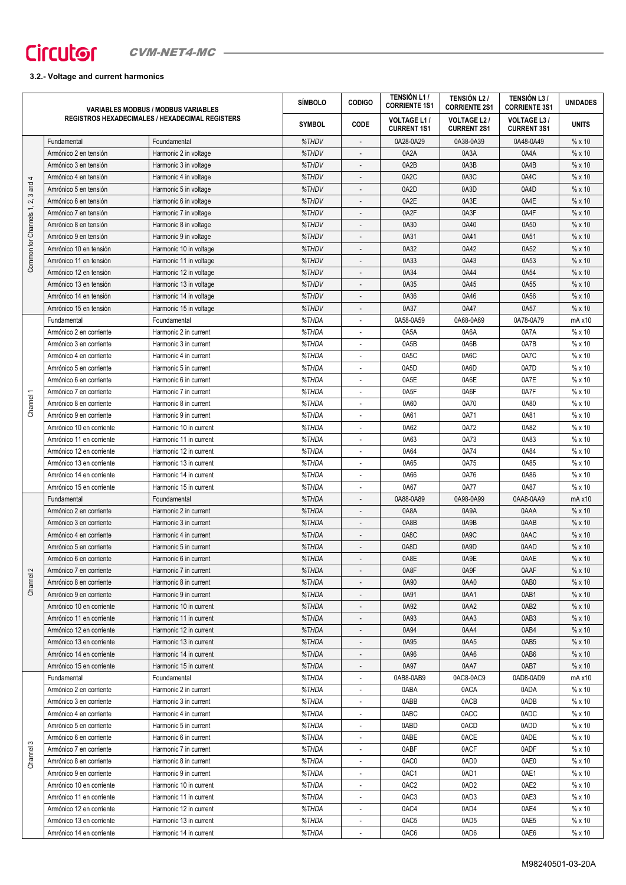## **3.2.- Voltage and current harmonics**

|                                 |                          | <b>VARIABLES MODBUS / MODBUS VARIABLES</b>             | <b>SÍMBOLO</b> | <b>CODIGO</b>            | <b>TENSIÓN L1/</b><br><b>CORRIENTE 1S1</b> | <b>TENSIÓN L2/</b><br><b>CORRIENTE 2S1</b> | <b>TENSIÓN L3/</b><br><b>CORRIENTE 3S1</b>                                                                                                                                                                                                     | <b>UNIDADES</b> |
|---------------------------------|--------------------------|--------------------------------------------------------|----------------|--------------------------|--------------------------------------------|--------------------------------------------|------------------------------------------------------------------------------------------------------------------------------------------------------------------------------------------------------------------------------------------------|-----------------|
|                                 |                          | <b>REGISTROS HEXADECIMALES / HEXADECIMAL REGISTERS</b> | <b>SYMBOL</b>  | <b>CODE</b>              | <b>VOLTAGE L1/</b><br><b>CURRENT 1S1</b>   | <b>VOLTAGE L2/</b><br><b>CURRENT 2S1</b>   | <b>VOLTAGE L3 /</b><br><b>CURRENT 3S1</b>                                                                                                                                                                                                      | <b>UNITS</b>    |
|                                 | Fundamental              | Foundamental                                           | %THDV          | $\overline{\phantom{a}}$ | 0A28-0A29                                  | 0A38-0A39                                  | 0A48-0A49                                                                                                                                                                                                                                      | %x10            |
|                                 | Armónico 2 en tensión    | Harmonic 2 in voltage                                  | %THDV          | ÷,                       | 0A2A                                       | 0A3A                                       | 0A4A                                                                                                                                                                                                                                           | %x10            |
|                                 | Armónico 3 en tensión    | Harmonic 3 in voltage                                  | %THDV          |                          | 0A2B                                       | 0A3B                                       | 0A4B                                                                                                                                                                                                                                           | %x10            |
| 4                               | Armónico 4 en tensión    | Harmonic 4 in voltage                                  | %THDV          |                          | 0A <sub>2</sub> C                          | 0A3C                                       | 0A4C                                                                                                                                                                                                                                           | % x10           |
|                                 | Amrónico 5 en tensión    | Harmonic 5 in voltage                                  | %THDV          |                          | 0A2D                                       | 0A3D                                       | 0A4D                                                                                                                                                                                                                                           | %x10            |
|                                 | Armónico 6 en tensión    | Harmonic 6 in voltage                                  | %THDV          |                          | 0A2E                                       | 0A3E                                       | 0A4E                                                                                                                                                                                                                                           | %x10            |
|                                 | Armónico 7 en tensión    | Harmonic 7 in voltage                                  | %THDV          |                          | 0A2F                                       | 0A3F                                       | 0A4F                                                                                                                                                                                                                                           | %x10            |
|                                 | Amrónico 8 en tensión    | Harmonic 8 in voltage                                  | %THDV          |                          | 0A30                                       | 0A40                                       | 0A50                                                                                                                                                                                                                                           | %x10            |
|                                 | Amrónico 9 en tensión    | Harmonic 9 in voltage                                  | %THDV          |                          | 0A31                                       | 0A41                                       | 0A51                                                                                                                                                                                                                                           | %x10            |
|                                 | Amrónico 10 en tensión   | Harmonic 10 in voltage                                 | %THDV          | ÷,                       | 0A32                                       | 0A42                                       | 0A52                                                                                                                                                                                                                                           | %x10            |
| Common for Channels 1, 2, 3 and | Amrónico 11 en tensión   | Harmonic 11 in voltage                                 | %THDV          | $\overline{a}$           | 0A33                                       | 0A43                                       | 0A53                                                                                                                                                                                                                                           | %x10            |
|                                 | Armónico 12 en tensión   | Harmonic 12 in voltage                                 | %THDV          | $\overline{a}$           | 0A34                                       | 0A44                                       | 0A54                                                                                                                                                                                                                                           | %x10            |
|                                 | Armónico 13 en tensión   | Harmonic 13 in voltage                                 | %THDV          |                          | 0A35                                       | 0A45                                       | 0A55                                                                                                                                                                                                                                           | $% \times 10$   |
|                                 | Amrónico 14 en tensión   | Harmonic 14 in voltage                                 | %THDV          |                          | 0A36                                       | 0A46                                       | 0A56                                                                                                                                                                                                                                           | %x10            |
|                                 | Amrónico 15 en tensión   | Harmonic 15 in voltage                                 | %THDV          |                          | 0A37                                       | 0A47                                       | 0A57                                                                                                                                                                                                                                           | %x10            |
|                                 | Fundamental              | Foundamental                                           | %THDA          |                          | 0A58-0A59                                  | 0A68-0A69                                  | 0A78-0A79                                                                                                                                                                                                                                      | mA x10          |
|                                 | Armónico 2 en corriente  | Harmonic 2 in current                                  | %THDA          |                          | 0A5A                                       | 0A6A                                       | 0A7A                                                                                                                                                                                                                                           | %x10            |
|                                 | Armónico 3 en corriente  | Harmonic 3 in current                                  | %THDA          |                          | 0A5B                                       | 0A6B                                       | 0A7B                                                                                                                                                                                                                                           | %x10            |
|                                 | Armónico 4 en corriente  | Harmonic 4 in current                                  | %THDA          | ä,                       | 0A5C                                       | 0A6C                                       | 0A7C                                                                                                                                                                                                                                           | %x10            |
|                                 | Amrónico 5 en corriente  | Harmonic 5 in current                                  | %THDA          | ÷,                       | 0A5D                                       | 0A6D                                       | 0A7D                                                                                                                                                                                                                                           | %x10            |
|                                 | Armónico 6 en corriente  | Harmonic 6 in current                                  | %THDA          | L,                       | 0A5E                                       | 0A6E                                       | 0A7E                                                                                                                                                                                                                                           | %x10            |
|                                 | Armónico 7 en corriente  | Harmonic 7 in current                                  | %THDA          |                          | 0A5F                                       | 0A6F                                       | 0A7F                                                                                                                                                                                                                                           | %x10            |
| Channel 1                       | Amrónico 8 en corriente  | Harmonic 8 in current                                  | %THDA          |                          | 0A60                                       | 0A70                                       | 0A80                                                                                                                                                                                                                                           | %x10            |
|                                 | Amrónico 9 en corriente  | Harmonic 9 in current                                  | %THDA          |                          | 0A61                                       | 0A71                                       | 0A81                                                                                                                                                                                                                                           | %x10            |
|                                 | Amrónico 10 en corriente | Harmonic 10 in current                                 | %THDA          |                          | 0A62                                       | 0A72                                       | 0A82                                                                                                                                                                                                                                           | %x10            |
|                                 | Amrónico 11 en corriente | Harmonic 11 in current                                 | %THDA          |                          | 0A63                                       | 0A73                                       | 0A83                                                                                                                                                                                                                                           | %x10            |
|                                 | Armónico 12 en corriente | Harmonic 12 in current                                 | %THDA          |                          | 0A64                                       | 0A74                                       | 0A84                                                                                                                                                                                                                                           | %x10            |
|                                 | Armónico 13 en corriente | Harmonic 13 in current                                 | %THDA          | ä,                       | 0A65                                       | 0A75                                       | 0A85                                                                                                                                                                                                                                           | %x10            |
|                                 | Amrónico 14 en corriente | Harmonic 14 in current                                 | %THDA          | ÷,                       | 0A66                                       | 0A76                                       | 0A86                                                                                                                                                                                                                                           | %x10            |
|                                 | Amrónico 15 en corriente | Harmonic 15 in current                                 | %THDA          | ٠                        | 0A67                                       | 0A77                                       | 0A87                                                                                                                                                                                                                                           | %x10            |
|                                 | Fundamental              | Foundamental                                           | %THDA          |                          | 0A88-0A89                                  | 0A98-0A99                                  | 0AA8-0AA9<br>0AAA<br>0AAB<br>0AAC<br>0AAD<br>0AAE<br>0AAF<br>0AB0<br>0AB1<br>0AB2<br>0AB3<br>0AB4<br>0AB5<br>0AB6<br>0AB7<br>0AD8-0AD9<br>0ADA<br>0ADB<br>0ADC<br>0ADD<br>0ADE<br>0ADF<br>0AE0<br>0AE1<br>0AE2<br>0AE3<br>0AE4<br>0AE5<br>0AE6 | $mA \times 10$  |
|                                 | Armónico 2 en corriente  | Harmonic 2 in current                                  | %THDA          |                          | 0A8A                                       | 0A9A                                       |                                                                                                                                                                                                                                                | %x10            |
|                                 | Armónico 3 en corriente  | Harmonic 3 in current                                  | %THDA          |                          | 0A8B                                       | 0A9B                                       |                                                                                                                                                                                                                                                | %x10            |
|                                 | Armónico 4 en corriente  | Harmonic 4 in current                                  | %THDA          |                          | 0A8C                                       | 0A9C                                       |                                                                                                                                                                                                                                                | %x10            |
|                                 | Amrónico 5 en corriente  | Harmonic 5 in current                                  | %THDA          |                          | 0A8D                                       | 0A9D                                       |                                                                                                                                                                                                                                                | %x10            |
|                                 | Armónico 6 en corriente  | Harmonic 6 in current                                  | %THDA          |                          | 0A8E                                       | 0A9E                                       |                                                                                                                                                                                                                                                | %x10            |
| $\sim$                          | Armónico 7 en corriente  | Harmonic 7 in current                                  | %THDA          |                          | 0A8F                                       | 0A9F                                       |                                                                                                                                                                                                                                                | %x10            |
| Channel <sup>2</sup>            | Amrónico 8 en corriente  | Harmonic 8 in current                                  | %THDA          |                          | 0A90                                       | 0AA0                                       |                                                                                                                                                                                                                                                | %x10            |
|                                 | Amrónico 9 en corriente  | Harmonic 9 in current                                  | %THDA          | $\overline{\phantom{m}}$ | 0A91                                       | 0AA1                                       |                                                                                                                                                                                                                                                | %x10            |
|                                 | Amrónico 10 en corriente | Harmonic 10 in current                                 | %THDA          | ÷,                       | 0A92                                       | 0AA2                                       |                                                                                                                                                                                                                                                | %x10            |
|                                 | Amrónico 11 en corriente | Harmonic 11 in current                                 | %THDA          |                          | 0A93                                       | 0AA3                                       |                                                                                                                                                                                                                                                | %x10            |
|                                 | Armónico 12 en corriente | Harmonic 12 in current                                 | %THDA          |                          | 0A94                                       | 0AA4                                       |                                                                                                                                                                                                                                                | %x10            |
|                                 | Armónico 13 en corriente | Harmonic 13 in current                                 | %THDA          |                          | 0A95                                       | 0AA5                                       |                                                                                                                                                                                                                                                | %x10            |
|                                 | Amrónico 14 en corriente | Harmonic 14 in current                                 | %THDA          |                          | 0A96                                       | 0AA6                                       |                                                                                                                                                                                                                                                | %x10            |
|                                 | Amrónico 15 en corriente | Harmonic 15 in current                                 | %THDA          |                          | 0A97                                       | 0AA7                                       |                                                                                                                                                                                                                                                | %x10            |
|                                 | Fundamental              | Foundamental                                           | %THDA          |                          | 0AB8-0AB9                                  | 0AC8-0AC9                                  |                                                                                                                                                                                                                                                | mA x10          |
|                                 | Armónico 2 en corriente  | Harmonic 2 in current                                  | %THDA          | $\overline{a}$           | 0ABA                                       | 0ACA                                       |                                                                                                                                                                                                                                                | %x10            |
|                                 | Armónico 3 en corriente  | Harmonic 3 in current                                  | %THDA          | $\overline{a}$           | 0ABB                                       | 0ACB                                       |                                                                                                                                                                                                                                                | %x10            |
|                                 | Armónico 4 en corriente  | Harmonic 4 in current                                  | %THDA          | $\overline{\phantom{a}}$ | 0ABC                                       | 0ACC                                       |                                                                                                                                                                                                                                                | %x10            |
|                                 | Amrónico 5 en corriente  | Harmonic 5 in current                                  | %THDA          | $\overline{\phantom{a}}$ | 0ABD                                       | 0ACD                                       |                                                                                                                                                                                                                                                | %x10            |
| S                               | Armónico 6 en corriente  | Harmonic 6 in current                                  | %THDA          | $\overline{\phantom{m}}$ | 0ABE                                       | 0ACE                                       |                                                                                                                                                                                                                                                | % x 10          |
| Channel                         | Armónico 7 en corriente  | Harmonic 7 in current                                  | %THDA          |                          | 0ABF                                       | 0ACF                                       |                                                                                                                                                                                                                                                | %x10            |
|                                 | Amrónico 8 en corriente  | Harmonic 8 in current                                  | %THDA          |                          | 0AC0                                       | 0AD0                                       |                                                                                                                                                                                                                                                | %x10            |
|                                 | Amrónico 9 en corriente  | Harmonic 9 in current                                  | %THDA          |                          | 0AC1                                       | 0AD1                                       |                                                                                                                                                                                                                                                | %x10            |
|                                 | Amrónico 10 en corriente | Harmonic 10 in current                                 | %THDA          |                          | 0AC2                                       | 0AD <sub>2</sub>                           |                                                                                                                                                                                                                                                | %x10            |
|                                 | Amrónico 11 en corriente | Harmonic 11 in current                                 | %THDA          | ä,                       | 0AC3                                       | 0AD3                                       |                                                                                                                                                                                                                                                | %x10            |
|                                 | Armónico 12 en corriente | Harmonic 12 in current                                 | %THDA          | $\overline{\phantom{a}}$ | 0AC4                                       | 0AD4                                       |                                                                                                                                                                                                                                                | %x10            |
|                                 | Armónico 13 en corriente | Harmonic 13 in current                                 | %THDA          | $\overline{\phantom{a}}$ | 0AC5                                       | 0AD5                                       |                                                                                                                                                                                                                                                | % x 10          |
|                                 | Amrónico 14 en corriente | Harmonic 14 in current                                 | %THDA          | $\overline{\phantom{a}}$ | 0AC6                                       | 0AD6                                       |                                                                                                                                                                                                                                                | %x10            |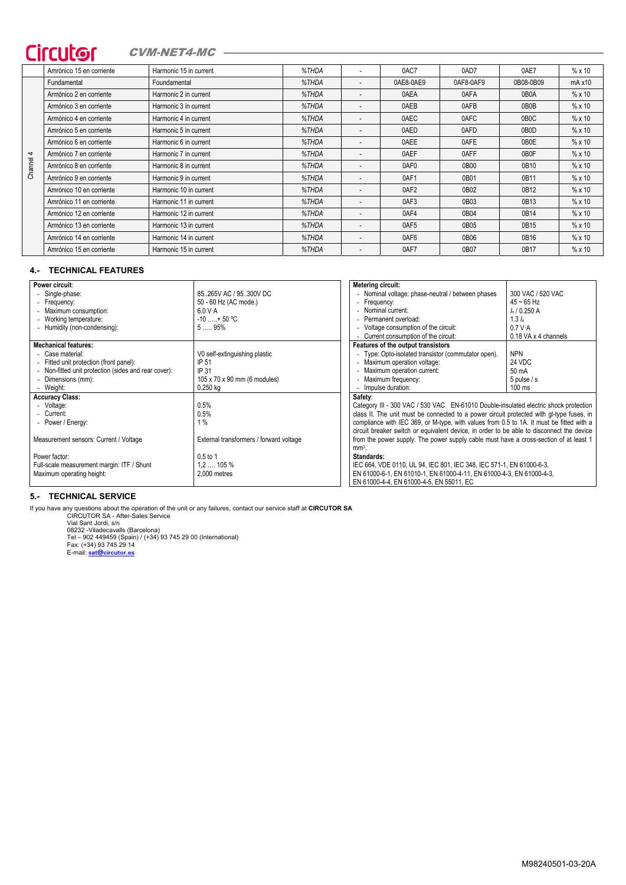## Circutor CVM-NET4-MC -

|         | Amrónico 15 en corriente | Harmonic 15 in current | %THDA |                          | 0AC7      | 0AD7      | 0AE7              | $% \times 10$  |  |
|---------|--------------------------|------------------------|-------|--------------------------|-----------|-----------|-------------------|----------------|--|
|         | Fundamental              | Foundamental           | %THDA | $\overline{\phantom{a}}$ | 0AE8-0AE9 | 0AF8-0AF9 | 0B08-0B09         | $mA \times 10$ |  |
|         | Armónico 2 en corriente  | Harmonic 2 in current  | %THDA | ۰                        | 0AEA      | 0AFA      | 0B <sub>0</sub> A | $% \times 10$  |  |
|         | Armónico 3 en corriente  | Harmonic 3 in current  | %THDA |                          | 0AEB      | 0AFB      | 0B0B              | %x10           |  |
|         | Armónico 4 en corriente  | Harmonic 4 in current  | %THDA |                          | 0AEC      | 0AFC      | 0B <sub>0</sub> C | %x10           |  |
|         | Amrónico 5 en corriente  | Harmonic 5 in current  | %THDA |                          | 0AED      | 0AFD      | 0B <sub>0</sub> D | %x10           |  |
|         | Armónico 6 en corriente  | Harmonic 6 in current  | %THDA |                          | 0AEE      | 0AFE      | 0B0E              | $% \times 10$  |  |
| 4       | Armónico 7 en corriente  | Harmonic 7 in current  | %THDA | ۰                        | 0AEF      | 0AFF      | 0B0F              | %x10           |  |
| Channel | Amrónico 8 en corriente  | Harmonic 8 in current  | %THDA | $\overline{\phantom{a}}$ | 0AF0      | 0B00      | 0B10              | %x10           |  |
|         | Amrónico 9 en corriente  | Harmonic 9 in current  | %THDA |                          | 0AF1      | 0B01      | 0B11              | %x10           |  |
|         | Amrónico 10 en corriente | Harmonic 10 in current | %THDA |                          | 0AF2      | 0B02      | 0B12              | %x10           |  |
|         | Amrónico 11 en corriente | Harmonic 11 in current | %THDA |                          | 0AF3      | 0B03      | 0B13              | %x10           |  |
|         | Armónico 12 en corriente | Harmonic 12 in current | %THDA |                          | 0AF4      | 0B04      | 0B14              | $% \times 10$  |  |
|         | Armónico 13 en corriente | Harmonic 13 in current | %THDA |                          | 0AF5      | 0B05      | 0B15              | %x10           |  |
|         | Amrónico 14 en corriente | Harmonic 14 in current | %THDA | ۰                        | 0AF6      | 0B06      | 0B16              | %x10           |  |
|         | Amrónico 15 en corriente | Harmonic 15 in current | %THDA | $\overline{\phantom{a}}$ | 0AF7      | 0B07      | 0B17              | $% \times 10$  |  |

## **4.- TECHNICAL FEATURES**

| Power circuit:                                       |                                         | Metering circuit:                                                                         |                      |  |  |
|------------------------------------------------------|-----------------------------------------|-------------------------------------------------------------------------------------------|----------------------|--|--|
| - Single-phase:                                      | 85265V AC / 95300V DC                   | - Nominal voltage: phase-neutral / between phases                                         | 300 VAC / 520 VAC    |  |  |
| - Frequency:                                         | 50 - 60 Hz (AC mode.)                   | - Frequency:                                                                              | $45 - 65$ Hz         |  |  |
| - Maximum consumption:                               | 6.0 V.A                                 | - Nominal current:                                                                        | $I_n$ / 0.250 A      |  |  |
| - Working temperature:                               | $-10$ + 50 °C                           | Permanent overload:                                                                       | 1.3 h                |  |  |
| - Humidity (non-condensing):                         | 595%                                    | - Voltage consumption of the circuit:<br>0.7 V A                                          |                      |  |  |
|                                                      |                                         | - Current consumption of the circuit:                                                     | 0.18 VA x 4 channels |  |  |
| <b>Mechanical features:</b>                          |                                         | Features of the output transistors                                                        |                      |  |  |
| - Case material:                                     | V0 self-extinguishing plastic           | - Type: Opto-isolated transistor (commutator open).                                       | <b>NPN</b>           |  |  |
| - Fitted unit protection (front panel):              | IP 51                                   | - Maximum operation voltage:                                                              | 24 VDC               |  |  |
| - Non-fitted unit protection (sides and rear cover): | IP 31                                   | - Maximum operation current:                                                              | 50 mA                |  |  |
| - Dimensions (mm):                                   | 105 x 70 x 90 mm (6 modules)            | - Maximum frequency:                                                                      | $5$ pulse / s        |  |  |
| - Weight:                                            | $0.250$ kg                              | - Impulse duration:                                                                       | $100$ ms             |  |  |
| <b>Accuracy Class:</b>                               |                                         | Safety:                                                                                   |                      |  |  |
| - Voltage:                                           | 0.5%                                    | Category III - 300 VAC / 530 VAC EN-61010 Double-insulated electric shock protection      |                      |  |  |
| - Current:                                           | 0.5%                                    | class II. The unit must be connected to a power circuit protected with gl-type fuses, in  |                      |  |  |
| - Power / Energy:                                    | 1%                                      | compliance with IEC 369, or M-type, with values from 0.5 to 1A. It must be fitted with a  |                      |  |  |
|                                                      |                                         | circuit breaker switch or equivalent device, in order to be able to disconnect the device |                      |  |  |
| Measurement sensors: Current / Voltage               | External transformers / forward voltage | from the power supply. The power supply cable must have a cross-section of at least 1     |                      |  |  |
|                                                      |                                         | $mm3$ .                                                                                   |                      |  |  |
| Power factor:                                        | $0.5$ to 1                              | Standards:                                                                                |                      |  |  |
| Full-scale measurement margin: ITF / Shunt           | $1.2$ 105 %                             | IEC 664, VDE 0110, UL 94, IEC 801, IEC 348, IEC 571-1, EN 61000-6-3,                      |                      |  |  |
| Maximum operating height:                            | 2.000 metres                            | EN 61000-6-1, EN 61010-1, EN 61000-4-11, EN 61000-4-3, EN 61000-4-3,                      |                      |  |  |
|                                                      |                                         | EN 61000-4-4, EN 61000-4-5, EN 55011, EC                                                  |                      |  |  |

## **5.- TECHNICAL SERVICE**

If you have any questions about the operation of the unit or any failures, contact our service staff at CIRCUTOR SA<br>CIRCUTOR SA - After-Sales Service<br>Vial Sant Jordi, Sn<br>Vial Sant Jordi, Sn<br>D8232 -Viladecavalls (Barcelona